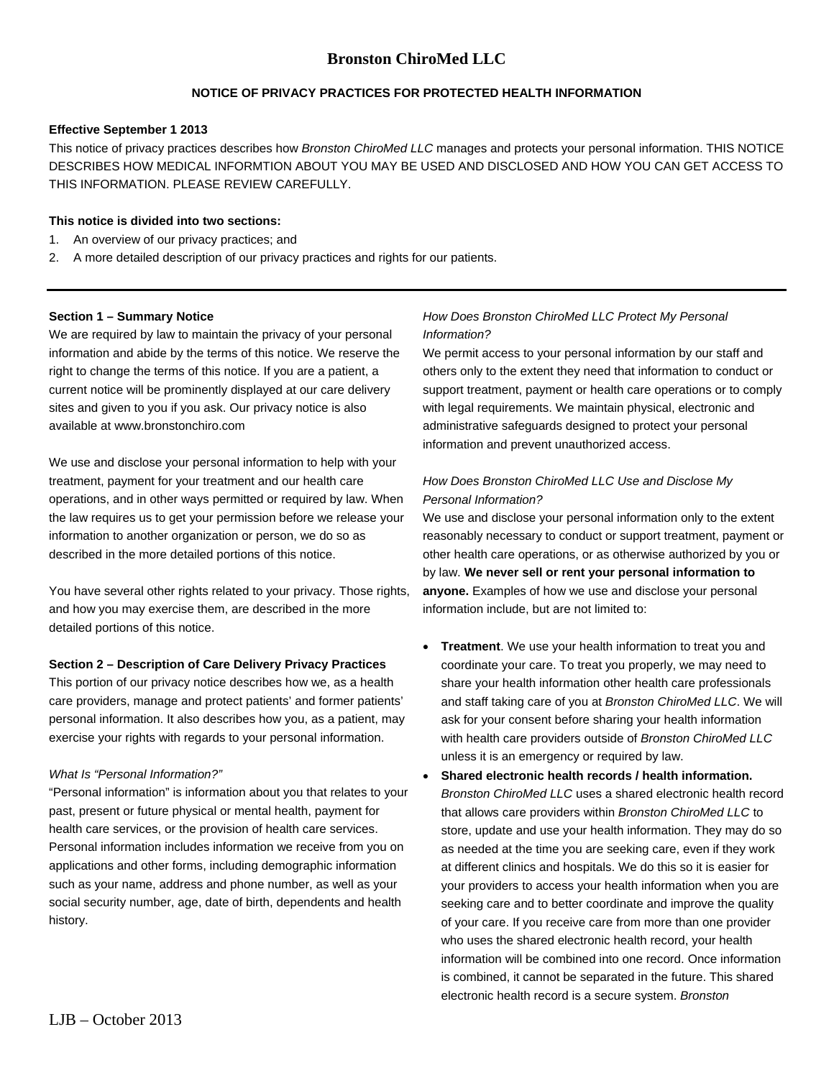## **NOTICE OF PRIVACY PRACTICES FOR PROTECTED HEALTH INFORMATION**

#### **Effective September 1 2013**

This notice of privacy practices describes how *Bronston ChiroMed LLC* manages and protects your personal information. THIS NOTICE DESCRIBES HOW MEDICAL INFORMTION ABOUT YOU MAY BE USED AND DISCLOSED AND HOW YOU CAN GET ACCESS TO THIS INFORMATION. PLEASE REVIEW CAREFULLY.

## **This notice is divided into two sections:**

- 1. An overview of our privacy practices; and
- 2. A more detailed description of our privacy practices and rights for our patients.

#### **Section 1 – Summary Notice**

We are required by law to maintain the privacy of your personal information and abide by the terms of this notice. We reserve the right to change the terms of this notice. If you are a patient, a current notice will be prominently displayed at our care delivery sites and given to you if you ask. Our privacy notice is also available at www.bronstonchiro.com

We use and disclose your personal information to help with your treatment, payment for your treatment and our health care operations, and in other ways permitted or required by law. When the law requires us to get your permission before we release your information to another organization or person, we do so as described in the more detailed portions of this notice.

You have several other rights related to your privacy. Those rights, and how you may exercise them, are described in the more detailed portions of this notice.

## **Section 2 – Description of Care Delivery Privacy Practices**

This portion of our privacy notice describes how we, as a health care providers, manage and protect patients' and former patients' personal information. It also describes how you, as a patient, may exercise your rights with regards to your personal information.

#### *What Is "Personal Information?"*

"Personal information" is information about you that relates to your past, present or future physical or mental health, payment for health care services, or the provision of health care services. Personal information includes information we receive from you on applications and other forms, including demographic information such as your name, address and phone number, as well as your social security number, age, date of birth, dependents and health history.

## *How Does Bronston ChiroMed LLC Protect My Personal Information?*

We permit access to your personal information by our staff and others only to the extent they need that information to conduct or support treatment, payment or health care operations or to comply with legal requirements. We maintain physical, electronic and administrative safeguards designed to protect your personal information and prevent unauthorized access.

## *How Does Bronston ChiroMed LLC Use and Disclose My Personal Information?*

We use and disclose your personal information only to the extent reasonably necessary to conduct or support treatment, payment or other health care operations, or as otherwise authorized by you or by law. **We never sell or rent your personal information to anyone.** Examples of how we use and disclose your personal information include, but are not limited to:

- **Treatment**. We use your health information to treat you and coordinate your care. To treat you properly, we may need to share your health information other health care professionals and staff taking care of you at *Bronston ChiroMed LLC*. We will ask for your consent before sharing your health information with health care providers outside of *Bronston ChiroMed LLC* unless it is an emergency or required by law.
- **Shared electronic health records / health information.** *Bronston ChiroMed LLC* uses a shared electronic health record that allows care providers within *Bronston ChiroMed LLC* to store, update and use your health information. They may do so as needed at the time you are seeking care, even if they work at different clinics and hospitals. We do this so it is easier for your providers to access your health information when you are seeking care and to better coordinate and improve the quality of your care. If you receive care from more than one provider who uses the shared electronic health record, your health information will be combined into one record. Once information is combined, it cannot be separated in the future. This shared electronic health record is a secure system. *Bronston*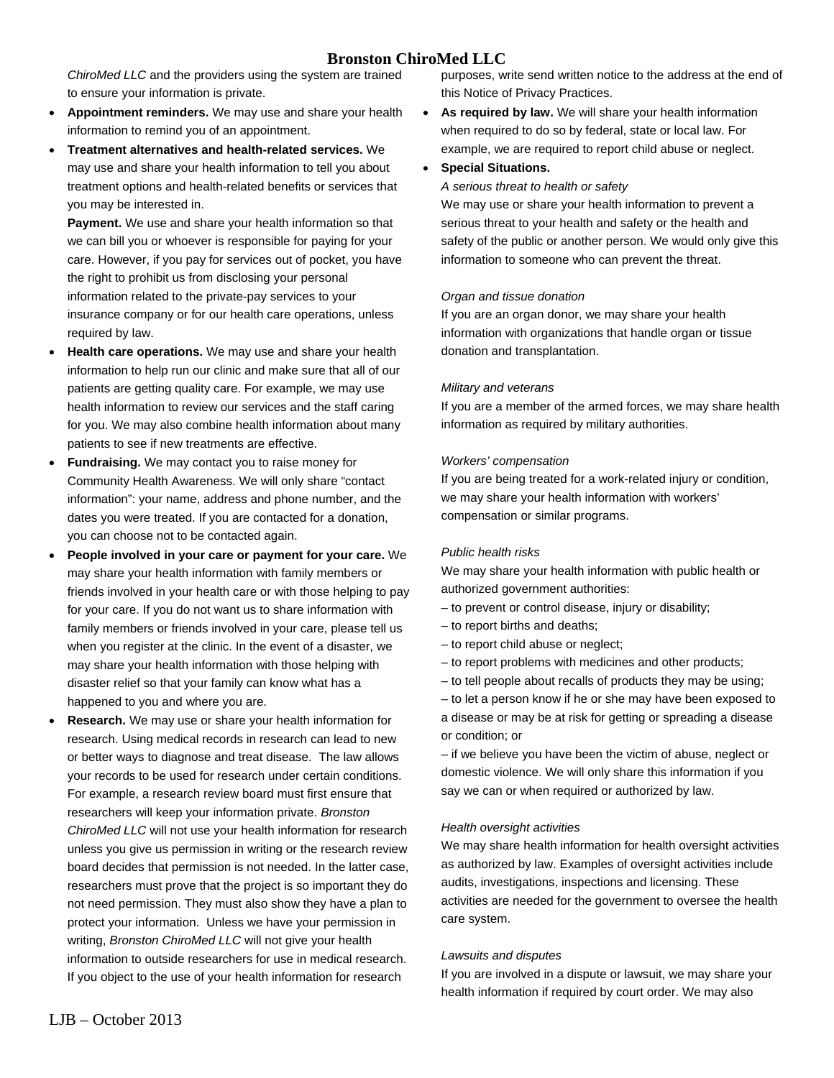*ChiroMed LLC* and the providers using the system are trained to ensure your information is private.

- **Appointment reminders.** We may use and share your health information to remind you of an appointment.
- **Treatment alternatives and health-related services.** We may use and share your health information to tell you about treatment options and health-related benefits or services that you may be interested in.

**Payment.** We use and share your health information so that we can bill you or whoever is responsible for paying for your care. However, if you pay for services out of pocket, you have the right to prohibit us from disclosing your personal information related to the private-pay services to your insurance company or for our health care operations, unless required by law.

- **Health care operations.** We may use and share your health information to help run our clinic and make sure that all of our patients are getting quality care. For example, we may use health information to review our services and the staff caring for you. We may also combine health information about many patients to see if new treatments are effective.
- **Fundraising.** We may contact you to raise money for Community Health Awareness. We will only share "contact information": your name, address and phone number, and the dates you were treated. If you are contacted for a donation, you can choose not to be contacted again.
- **People involved in your care or payment for your care.** We may share your health information with family members or friends involved in your health care or with those helping to pay for your care. If you do not want us to share information with family members or friends involved in your care, please tell us when you register at the clinic. In the event of a disaster, we may share your health information with those helping with disaster relief so that your family can know what has a happened to you and where you are.
- **Research.** We may use or share your health information for research. Using medical records in research can lead to new or better ways to diagnose and treat disease. The law allows your records to be used for research under certain conditions. For example, a research review board must first ensure that researchers will keep your information private. *Bronston ChiroMed LLC* will not use your health information for research unless you give us permission in writing or the research review board decides that permission is not needed. In the latter case, researchers must prove that the project is so important they do not need permission. They must also show they have a plan to protect your information. Unless we have your permission in writing, *Bronston ChiroMed LLC* will not give your health information to outside researchers for use in medical research. If you object to the use of your health information for research

purposes, write send written notice to the address at the end of this Notice of Privacy Practices.

• **As required by law.** We will share your health information when required to do so by federal, state or local law. For example, we are required to report child abuse or neglect.

### • **Special Situations.**

#### *A serious threat to health or safety*

We may use or share your health information to prevent a serious threat to your health and safety or the health and safety of the public or another person. We would only give this information to someone who can prevent the threat.

#### *Organ and tissue donation*

If you are an organ donor, we may share your health information with organizations that handle organ or tissue donation and transplantation.

#### *Military and veterans*

If you are a member of the armed forces, we may share health information as required by military authorities.

#### *Workers' compensation*

If you are being treated for a work-related injury or condition, we may share your health information with workers' compensation or similar programs.

#### *Public health risks*

We may share your health information with public health or authorized government authorities:

- to prevent or control disease, injury or disability;
- to report births and deaths;
- to report child abuse or neglect;
- to report problems with medicines and other products;
- to tell people about recalls of products they may be using;

– to let a person know if he or she may have been exposed to a disease or may be at risk for getting or spreading a disease or condition; or

– if we believe you have been the victim of abuse, neglect or domestic violence. We will only share this information if you say we can or when required or authorized by law.

#### *Health oversight activities*

We may share health information for health oversight activities as authorized by law. Examples of oversight activities include audits, investigations, inspections and licensing. These activities are needed for the government to oversee the health care system.

#### *Lawsuits and disputes*

If you are involved in a dispute or lawsuit, we may share your health information if required by court order. We may also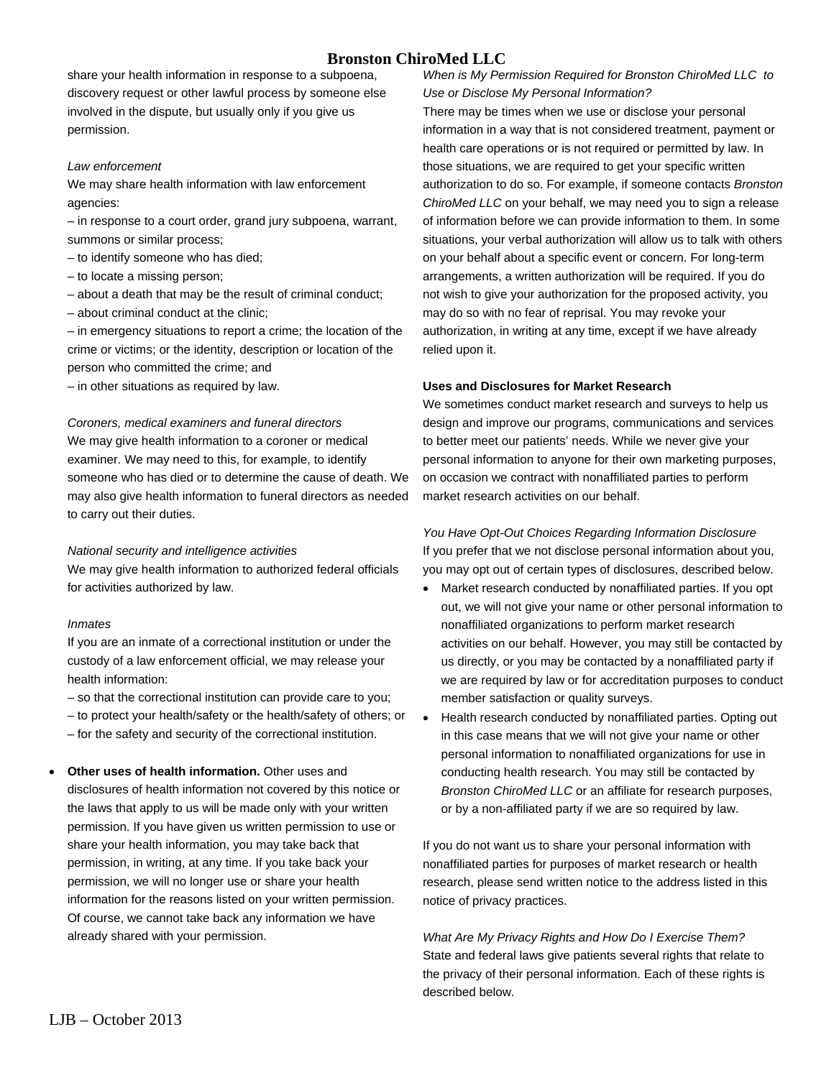share your health information in response to a subpoena, discovery request or other lawful process by someone else involved in the dispute, but usually only if you give us permission.

#### *Law enforcement*

We may share health information with law enforcement agencies:

– in response to a court order, grand jury subpoena, warrant, summons or similar process;

- to identify someone who has died;
- to locate a missing person;
- about a death that may be the result of criminal conduct;
- about criminal conduct at the clinic;

– in emergency situations to report a crime; the location of the crime or victims; or the identity, description or location of the person who committed the crime; and

– in other situations as required by law.

#### *Coroners, medical examiners and funeral directors*

We may give health information to a coroner or medical examiner. We may need to this, for example, to identify someone who has died or to determine the cause of death. We may also give health information to funeral directors as needed to carry out their duties.

#### *National security and intelligence activities*

We may give health information to authorized federal officials for activities authorized by law.

#### *Inmates*

If you are an inmate of a correctional institution or under the custody of a law enforcement official, we may release your health information:

- so that the correctional institution can provide care to you;
- to protect your health/safety or the health/safety of others; or
- for the safety and security of the correctional institution.
- **Other uses of health information.** Other uses and disclosures of health information not covered by this notice or the laws that apply to us will be made only with your written permission. If you have given us written permission to use or share your health information, you may take back that permission, in writing, at any time. If you take back your permission, we will no longer use or share your health information for the reasons listed on your written permission. Of course, we cannot take back any information we have already shared with your permission.

*When is My Permission Required for Bronston ChiroMed LLC to Use or Disclose My Personal Information?* 

There may be times when we use or disclose your personal information in a way that is not considered treatment, payment or health care operations or is not required or permitted by law. In those situations, we are required to get your specific written authorization to do so. For example, if someone contacts *Bronston ChiroMed LLC* on your behalf, we may need you to sign a release of information before we can provide information to them. In some situations, your verbal authorization will allow us to talk with others on your behalf about a specific event or concern. For long-term arrangements, a written authorization will be required. If you do not wish to give your authorization for the proposed activity, you may do so with no fear of reprisal. You may revoke your authorization, in writing at any time, except if we have already relied upon it.

## **Uses and Disclosures for Market Research**

We sometimes conduct market research and surveys to help us design and improve our programs, communications and services to better meet our patients' needs. While we never give your personal information to anyone for their own marketing purposes, on occasion we contract with nonaffiliated parties to perform market research activities on our behalf.

## *You Have Opt-Out Choices Regarding Information Disclosure*

If you prefer that we not disclose personal information about you, you may opt out of certain types of disclosures, described below.

- Market research conducted by nonaffiliated parties. If you opt out, we will not give your name or other personal information to nonaffiliated organizations to perform market research activities on our behalf. However, you may still be contacted by us directly, or you may be contacted by a nonaffiliated party if we are required by law or for accreditation purposes to conduct member satisfaction or quality surveys.
- Health research conducted by nonaffiliated parties. Opting out in this case means that we will not give your name or other personal information to nonaffiliated organizations for use in conducting health research. You may still be contacted by *Bronston ChiroMed LLC* or an affiliate for research purposes, or by a non-affiliated party if we are so required by law.

If you do not want us to share your personal information with nonaffiliated parties for purposes of market research or health research, please send written notice to the address listed in this notice of privacy practices.

*What Are My Privacy Rights and How Do I Exercise Them?*  State and federal laws give patients several rights that relate to the privacy of their personal information. Each of these rights is described below.